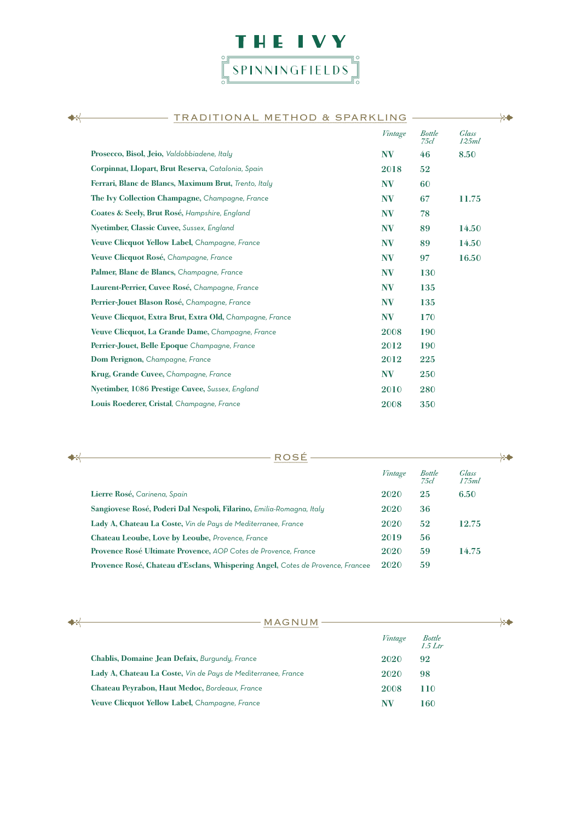

| <u>TRADITIONAL METHOD &amp; SPARKLING</u><br>∺           |           |                       |                |
|----------------------------------------------------------|-----------|-----------------------|----------------|
|                                                          | Vintage   | <b>Bottle</b><br>75cl | Glass<br>125ml |
| Prosecco, Bisol, Jeio, Valdobbiadene, Italy              | <b>NV</b> | 46                    | 8.50           |
| Corpinnat, Llopart, Brut Reserva, Catalonia, Spain       | 2018      | 52                    |                |
| Ferrari, Blanc de Blancs, Maximum Brut, Trento, Italy    | <b>NV</b> | 60                    |                |
| The Ivy Collection Champagne, Champagne, France          | NV        | 67                    | 11.75          |
| Coates & Seely, Brut Rosé, Hampshire, England            | <b>NV</b> | 78                    |                |
| Nyetimber, Classic Cuvee, Sussex, England                | <b>NV</b> | 89                    | 14.50          |
| Veuve Clicquot Yellow Label, Champagne, France           | <b>NV</b> | 89                    | 14.50          |
| Veuve Clicquot Rosé, Champagne, France                   | <b>NV</b> | 97                    | 16.50          |
| Palmer, Blanc de Blancs, Champagne, France               | <b>NV</b> | 130                   |                |
| Laurent-Perrier, Cuvee Rosé, Champagne, France           | <b>NV</b> | 135                   |                |
| Perrier-Jouet Blason Rosé, Champagne, France             | <b>NV</b> | 135                   |                |
| Veuve Clicquot, Extra Brut, Extra Old, Champagne, France | <b>NV</b> | 170                   |                |
| Veuve Clicquot, La Grande Dame, Champagne, France        | 2008      | 190                   |                |
| Perrier-Jouet, Belle Epoque Champagne, France            | 2012      | 190                   |                |
| Dom Perignon, Champagne, France                          | 2012      | 225                   |                |
| Krug, Grande Cuvee, Champagne, France                    | <b>NV</b> | 250                   |                |
| Nyetimber, 1086 Prestige Cuvee, Sussex, England          | 2010      | 280                   |                |
| Louis Roederer, Cristal, Champagne, France               | 2008      | 350                   |                |
|                                                          |           |                       |                |

| ROSÉ<br>$+$                                                                    |         |                       | $-2 - 2$        |
|--------------------------------------------------------------------------------|---------|-----------------------|-----------------|
|                                                                                | Vintage | <b>Bottle</b><br>75cl | Glass<br>17.5ml |
| Lierre Rosé, Carinena, Spain                                                   | 2020    | 25                    | 6.50            |
| Sangiovese Rosé, Poderi Dal Nespoli, Filarino, Emilia-Romagna, Italy           | 2020    | 36                    |                 |
| Lady A, Chateau La Coste, Vin de Pays de Mediterranee, France                  | 2020    | 52                    | 12.75           |
| Chateau Leoube, Love by Leoube, Provence, France                               | 2019    | 56                    |                 |
| Provence Rosé Ultimate Provence, AOP Cotes de Provence, France                 | 2020    | 59                    | 14.75           |
| Provence Rosé, Chateau d'Esclans, Whispering Angel, Cotes de Provence, Francee | 2020    | 59                    |                 |

| MAGNUM                                                        |         |                   |  |
|---------------------------------------------------------------|---------|-------------------|--|
|                                                               | Vintage | Bottle<br>1.5 Ltr |  |
| Chablis, Domaine Jean Defaix, Burgundy, France                | 2020    | 92                |  |
| Lady A, Chateau La Coste, Vin de Pays de Mediterranee, France | 2020    | 98                |  |
| Chateau Peyrabon, Haut Medoc, Bordeaux, France                | 2008    | 110               |  |
| Veuve Clicquot Yellow Label, Champagne, France                | NV      | 160               |  |

## $+$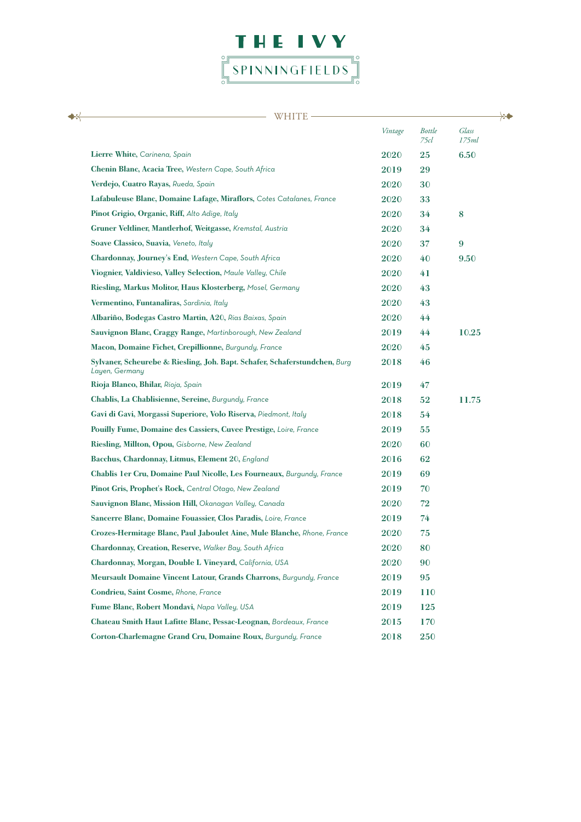

| WHITE                                                                                        |             |                       |                  |  |
|----------------------------------------------------------------------------------------------|-------------|-----------------------|------------------|--|
|                                                                                              | Vintage     | <b>Bottle</b><br>75cl | Glass<br>175ml   |  |
| Lierre White, Carinena, Spain                                                                | 2020        | 25                    | 6.50             |  |
| Chenin Blanc, Acacia Tree, Western Cape, South Africa                                        | 2019        | 29                    |                  |  |
| Verdejo, Cuatro Rayas, Rueda, Spain                                                          | <b>2020</b> | 30                    |                  |  |
| Lafabuleuse Blanc, Domaine Lafage, Miraflors, Cotes Catalanes, France                        | 2020        | 33                    |                  |  |
| Pinot Grigio, Organic, Riff, Alto Adige, Italy                                               | <b>2020</b> | 34                    | 8                |  |
| Gruner Veltliner, Mantlerhof, Weitgasse, Kremstal, Austria                                   | 2020        | 34                    |                  |  |
| Soave Classico, Suavia, Veneto, Italy                                                        | 2020        | 37                    | $\boldsymbol{9}$ |  |
| Chardonnay, Journey's End, Western Cape, South Africa                                        | 2020        | 40                    | 9.50             |  |
| Viognier, Valdivieso, Valley Selection, Maule Valley, Chile                                  | 2020        | 41                    |                  |  |
| Riesling, Markus Molitor, Haus Klosterberg, Mosel, Germany                                   | <b>2020</b> | 43                    |                  |  |
| Vermentino, Funtanaliras, Sardinia, Italy                                                    | <b>2020</b> | 43                    |                  |  |
| Albariño, Bodegas Castro Martin, A20, Rias Baixas, Spain                                     | 2020        | 44                    |                  |  |
| Sauvignon Blanc, Craggy Range, Martinborough, New Zealand                                    | 2019        | 44                    | 10.25            |  |
| Macon, Domaine Fichet, Crepillionne, Burgundy, France                                        | 2020        | 45                    |                  |  |
| Sylvaner, Scheurebe & Riesling, Joh. Bapt. Schafer, Schaferstundchen, Burg<br>Layen, Germany | 2018        | 46                    |                  |  |
| Rioja Blanco, Bhilar, Rioja, Spain                                                           | 2019        | 47                    |                  |  |
| Chablis, La Chablisienne, Sereine, Burgundy, France                                          | 2018        | 52                    | 11.75            |  |
| Gavi di Gavi, Morgassi Superiore, Volo Riserva, Piedmont, Italy                              | 2018        | 54                    |                  |  |
| Pouilly Fume, Domaine des Cassiers, Cuvee Prestige, Loire, France                            | 2019        | 55                    |                  |  |
| Riesling, Millton, Opou, Gisborne, New Zealand                                               | 2020        | 60                    |                  |  |
| Bacchus, Chardonnay, Litmus, Element 20, England                                             | 2016        | 62                    |                  |  |
| Chablis 1 er Cru, Domaine Paul Nicolle, Les Fourneaux, Burgundy, France                      | 2019        | 69                    |                  |  |
| Pinot Gris, Prophet's Rock, Central Otago, New Zealand                                       | 2019        | 70                    |                  |  |
| Sauvignon Blanc, Mission Hill, Okanagan Valley, Canada                                       | <b>2020</b> | 72                    |                  |  |
| Sancerre Blanc, Domaine Fouassier, Clos Paradis, Loire, France                               | 2019        | 74                    |                  |  |
| Crozes-Hermitage Blanc, Paul Jaboulet Aine, Mule Blanche, Rhone, France                      | 2020        | 75                    |                  |  |
| Chardonnay, Creation, Reserve, Walker Bay, South Africa                                      | 2020        | 80                    |                  |  |
| Chardonnay, Morgan, Double L Vineyard, California, USA                                       | 2020        | 90                    |                  |  |
| Meursault Domaine Vincent Latour, Grands Charrons, Burgundy, France                          | 2019        | 95                    |                  |  |
| Condrieu, Saint Cosme, Rhone, France                                                         | 2019        | 110                   |                  |  |
| Fume Blanc, Robert Mondavi, Napa Valley, USA                                                 | 2019        | 125                   |                  |  |
| Chateau Smith Haut Lafitte Blanc, Pessac-Leognan, Bordeaux, France                           | 2015        | 170                   |                  |  |
| Corton-Charlemagne Grand Cru, Domaine Roux, Burgundy, France                                 | 2018        | 250                   |                  |  |